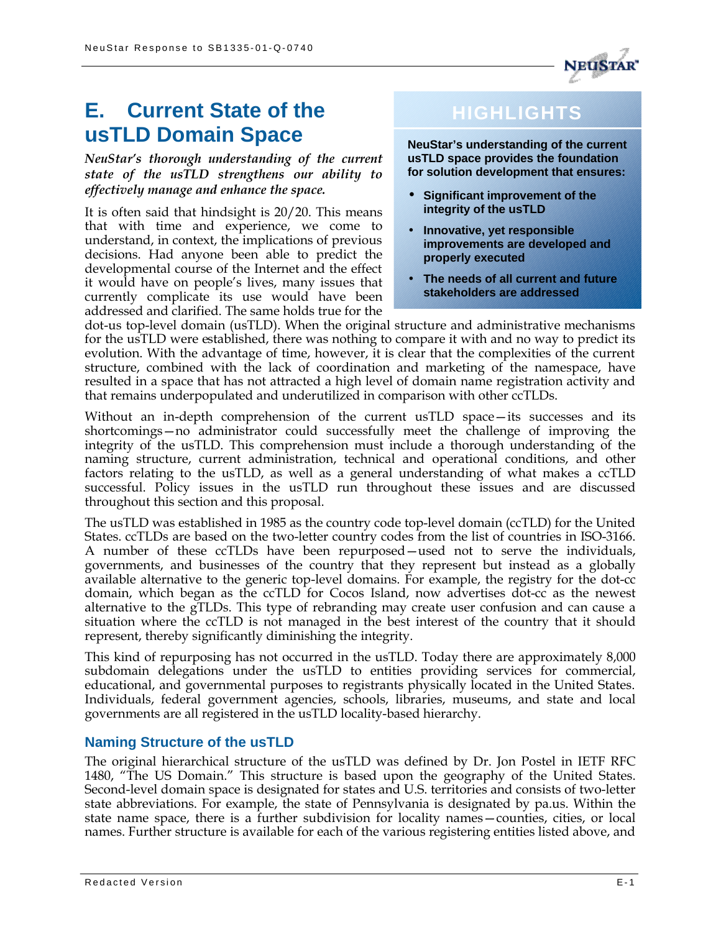

# **E. Current State of the usTLD Domain Space**

*NeuStar's thorough understanding of the current state of the usTLD strengthens our ability to effectively manage and enhance the space.*

It is often said that hindsight is 20/20. This means that with time and experience, we come to understand, in context, the implications of previous decisions. Had anyone been able to predict the developmental course of the Internet and the effect it would have on people's lives, many issues that currently complicate its use would have been addressed and clarified. The same holds true for the

# **HIGHLIGHTS**

**NeuStar's understanding of the current usTLD space provides the foundation for solution development that ensures:** 

- **Significant improvement of the integrity of the usTLD**
- **Innovative, yet responsible improvements are developed and properly executed**
- **The needs of all current and future stakeholders are addressed**

dot-us top-level domain (usTLD). When the original structure and administrative mechanisms for the usTLD were established, there was nothing to compare it with and no way to predict its evolution. With the advantage of time, however, it is clear that the complexities of the current structure, combined with the lack of coordination and marketing of the namespace, have resulted in a space that has not attracted a high level of domain name registration activity and that remains underpopulated and underutilized in comparison with other ccTLDs.

Without an in-depth comprehension of the current usTLD space—its successes and its shortcomings—no administrator could successfully meet the challenge of improving the integrity of the usTLD. This comprehension must include a thorough understanding of the naming structure, current administration, technical and operational conditions, and other factors relating to the usTLD, as well as a general understanding of what makes a ccTLD successful. Policy issues in the usTLD run throughout these issues and are discussed throughout this section and this proposal.

The usTLD was established in 1985 as the country code top-level domain (ccTLD) for the United States. ccTLDs are based on the two-letter country codes from the list of countries in ISO-3166. A number of these ccTLDs have been repurposed—used not to serve the individuals, governments, and businesses of the country that they represent but instead as a globally available alternative to the generic top-level domains. For example, the registry for the dot-cc domain, which began as the ccTLD for Cocos Island, now advertises dot-cc as the newest alternative to the gTLDs. This type of rebranding may create user confusion and can cause a situation where the ccTLD is not managed in the best interest of the country that it should represent, thereby significantly diminishing the integrity.

This kind of repurposing has not occurred in the usTLD. Today there are approximately 8,000 subdomain delegations under the usTLD to entities providing services for commercial, educational, and governmental purposes to registrants physically located in the United States. Individuals, federal government agencies, schools, libraries, museums, and state and local governments are all registered in the usTLD locality-based hierarchy.

# **Naming Structure of the usTLD**

The original hierarchical structure of the usTLD was defined by Dr. Jon Postel in IETF RFC 1480, "The US Domain." This structure is based upon the geography of the United States. Second-level domain space is designated for states and U.S. territories and consists of two-letter state abbreviations. For example, the state of Pennsylvania is designated by pa.us. Within the state name space, there is a further subdivision for locality names—counties, cities, or local names. Further structure is available for each of the various registering entities listed above, and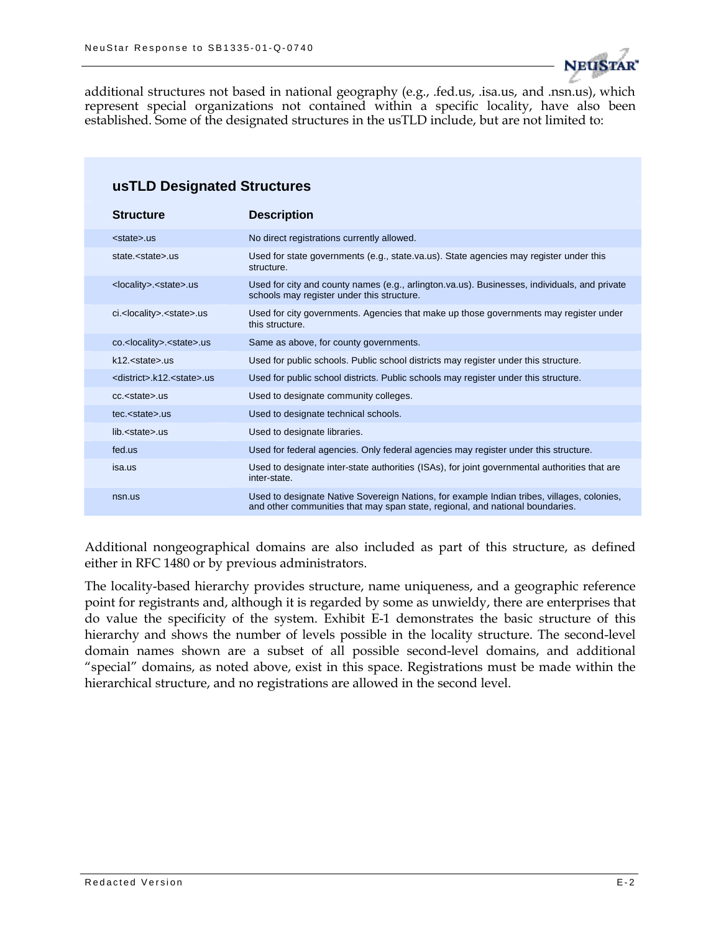

additional structures not based in national geography (e.g., .fed.us, .isa.us, and .nsn.us), which represent special organizations not contained within a specific locality, have also been established. Some of the designated structures in the usTLD include, but are not limited to:

| usTLD Designated Structures                  |                                                                                                                                                                             |  |  |  |
|----------------------------------------------|-----------------------------------------------------------------------------------------------------------------------------------------------------------------------------|--|--|--|
| <b>Structure</b>                             | <b>Description</b>                                                                                                                                                          |  |  |  |
| <state>.us</state>                           | No direct registrations currently allowed.                                                                                                                                  |  |  |  |
| state. <state>.us</state>                    | Used for state governments (e.g., state.va.us). State agencies may register under this<br>structure.                                                                        |  |  |  |
| <locality>.<state>.us</state></locality>     | Used for city and county names (e.g., arlington.va.us). Businesses, individuals, and private<br>schools may register under this structure.                                  |  |  |  |
| ci. <locality>.<state>.us</state></locality> | Used for city governments. Agencies that make up those governments may register under<br>this structure.                                                                    |  |  |  |
| co. <locality>.<state>.us</state></locality> | Same as above, for county governments.                                                                                                                                      |  |  |  |
| $k12$ , $\leq$ state $>$ .us                 | Used for public schools. Public school districts may register under this structure.                                                                                         |  |  |  |
| <district>.k12.<state>.us</state></district> | Used for public school districts. Public schools may register under this structure.                                                                                         |  |  |  |
| cc. <state>.us</state>                       | Used to designate community colleges.                                                                                                                                       |  |  |  |
| tec. <state>.us</state>                      | Used to designate technical schools.                                                                                                                                        |  |  |  |
| lib. < state                                 | Used to designate libraries.                                                                                                                                                |  |  |  |
| fed.us                                       | Used for federal agencies. Only federal agencies may register under this structure.                                                                                         |  |  |  |
| isa.us                                       | Used to designate inter-state authorities (ISAs), for joint governmental authorities that are<br>inter-state.                                                               |  |  |  |
| nsn.us                                       | Used to designate Native Sovereign Nations, for example Indian tribes, villages, colonies,<br>and other communities that may span state, regional, and national boundaries. |  |  |  |

Additional nongeographical domains are also included as part of this structure, as defined either in RFC 1480 or by previous administrators.

The locality-based hierarchy provides structure, name uniqueness, and a geographic reference point for registrants and, although it is regarded by some as unwieldy, there are enterprises that do value the specificity of the system. Exhibit E-1 demonstrates the basic structure of this hierarchy and shows the number of levels possible in the locality structure. The second-level domain names shown are a subset of all possible second-level domains, and additional "special" domains, as noted above, exist in this space. Registrations must be made within the hierarchical structure, and no registrations are allowed in the second level.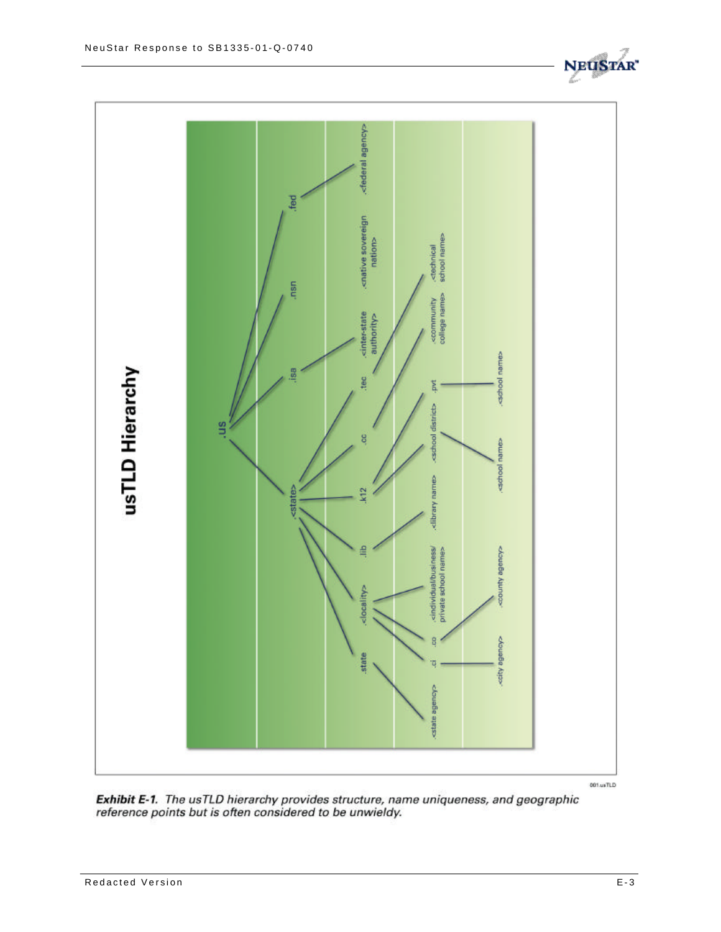

Exhibit E-1. The usTLD hierarchy provides structure, name uniqueness, and geographic reference points but is often considered to be unwieldy.

**NEUS**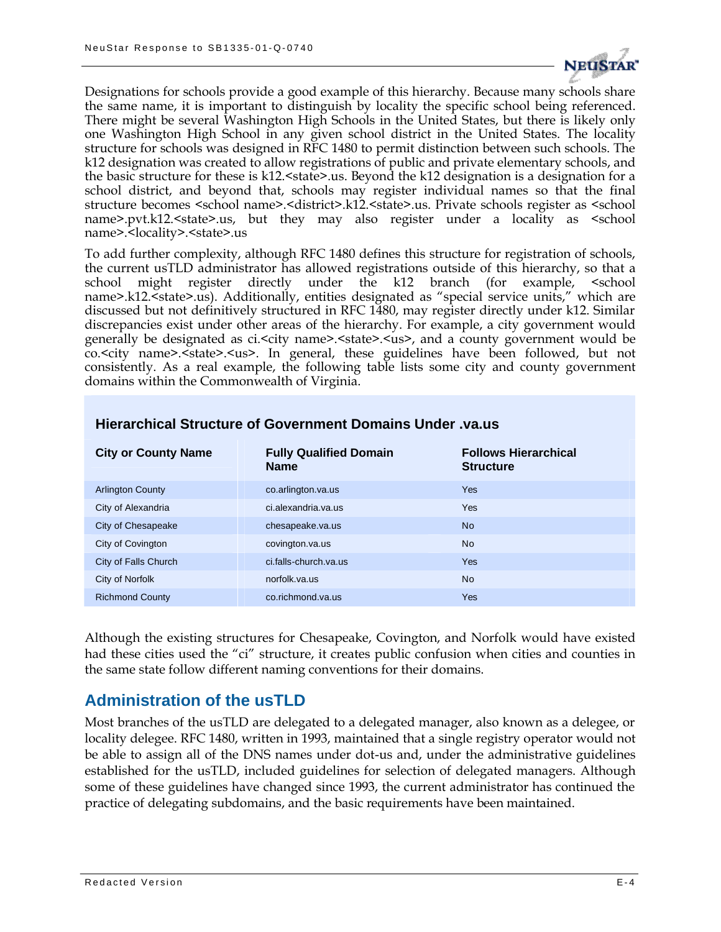

Designations for schools provide a good example of this hierarchy. Because many schools share the same name, it is important to distinguish by locality the specific school being referenced. There might be several Washington High Schools in the United States, but there is likely only one Washington High School in any given school district in the United States. The locality structure for schools was designed in RFC 1480 to permit distinction between such schools. The k12 designation was created to allow registrations of public and private elementary schools, and the basic structure for these is k12. <state>.us. Beyond the k12 designation is a designation for a school district, and beyond that, schools may register individual names so that the final structure becomes <school name>.<district>.k12.<state>.us. Private schools register as <school name>.pvt.k12.<state>.us, but they may also register under a locality as <school name>.<locality>.<state>.us

To add further complexity, although RFC 1480 defines this structure for registration of schools, the current usTLD administrator has allowed registrations outside of this hierarchy, so that a school might register directly under the k12 branch (for example, <school name>.k12.<state>.us). Additionally, entities designated as "special service units," which are discussed but not definitively structured in RFC 1480, may register directly under k12. Similar discrepancies exist under other areas of the hierarchy. For example, a city government would generally be designated as ci.<city name>.<state>.<us>, and a county government would be co.<city name>.<state>.<us>. In general, these guidelines have been followed, but not consistently. As a real example, the following table lists some city and county government domains within the Commonwealth of Virginia.

| <b>City or County Name</b> | <b>Fully Qualified Domain</b><br><b>Name</b> | <b>Follows Hierarchical</b><br><b>Structure</b> |
|----------------------------|----------------------------------------------|-------------------------------------------------|
| <b>Arlington County</b>    | co.arlington.va.us                           | <b>Yes</b>                                      |
| City of Alexandria         | ci.alexandria.va.us                          | <b>Yes</b>                                      |
| City of Chesapeake         | chesapeake.va.us                             | <b>No</b>                                       |
| City of Covington          | covington.va.us                              | <b>No</b>                                       |
| City of Falls Church       | ci.falls-church.va.us                        | Yes                                             |
| City of Norfolk            | norfolk.va.us                                | <b>No</b>                                       |
| <b>Richmond County</b>     | co.richmond.va.us                            | Yes                                             |

### **Hierarchical Structure of Government Domains Under .va.us**

Although the existing structures for Chesapeake, Covington, and Norfolk would have existed had these cities used the "ci" structure, it creates public confusion when cities and counties in the same state follow different naming conventions for their domains.

## **Administration of the usTLD**

Most branches of the usTLD are delegated to a delegated manager, also known as a delegee, or locality delegee. RFC 1480, written in 1993, maintained that a single registry operator would not be able to assign all of the DNS names under dot-us and, under the administrative guidelines established for the usTLD, included guidelines for selection of delegated managers. Although some of these guidelines have changed since 1993, the current administrator has continued the practice of delegating subdomains, and the basic requirements have been maintained.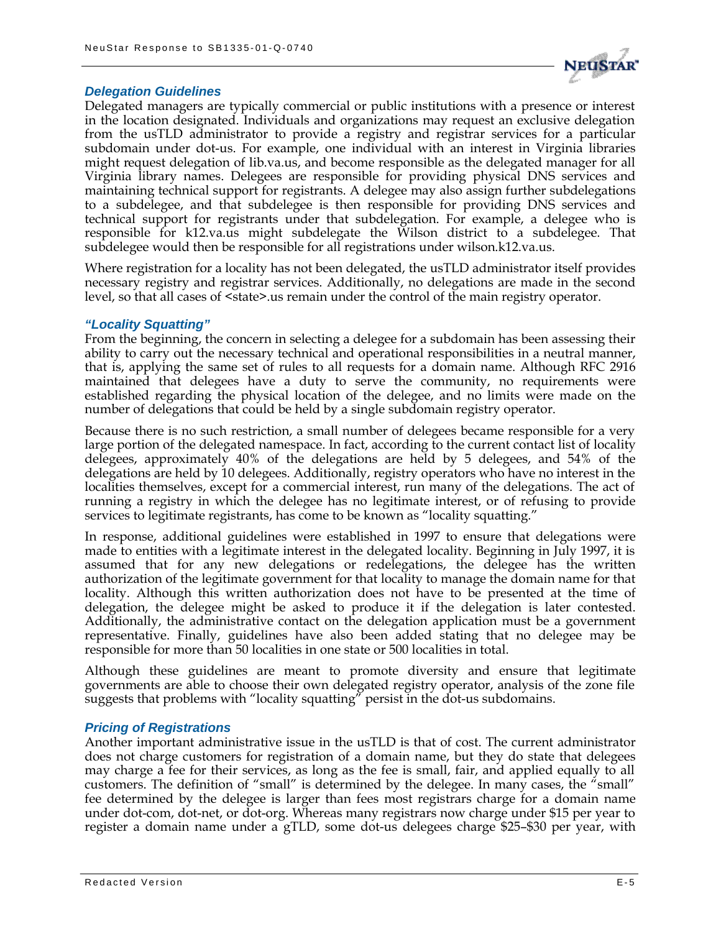

#### *Delegation Guidelines*

Delegated managers are typically commercial or public institutions with a presence or interest in the location designated. Individuals and organizations may request an exclusive delegation from the usTLD administrator to provide a registry and registrar services for a particular subdomain under dot-us. For example, one individual with an interest in Virginia libraries might request delegation of lib.va.us, and become responsible as the delegated manager for all Virginia library names. Delegees are responsible for providing physical DNS services and maintaining technical support for registrants. A delegee may also assign further subdelegations to a subdelegee, and that subdelegee is then responsible for providing DNS services and technical support for registrants under that subdelegation. For example, a delegee who is responsible for k12.va.us might subdelegate the Wilson district to a subdelegee. That subdelegee would then be responsible for all registrations under wilson.k12.va.us.

Where registration for a locality has not been delegated, the usTLD administrator itself provides necessary registry and registrar services. Additionally, no delegations are made in the second level, so that all cases of  $\leq$ state $\geq$ .us remain under the control of the main registry operator.

#### *"Locality Squatting"*

From the beginning, the concern in selecting a delegee for a subdomain has been assessing their ability to carry out the necessary technical and operational responsibilities in a neutral manner, that is, applying the same set of rules to all requests for a domain name. Although RFC 2916 maintained that delegees have a duty to serve the community, no requirements were established regarding the physical location of the delegee, and no limits were made on the number of delegations that could be held by a single subdomain registry operator.

Because there is no such restriction, a small number of delegees became responsible for a very large portion of the delegated namespace. In fact, according to the current contact list of locality delegees, approximately 40% of the delegations are held by 5 delegees, and 54% of the delegations are held by 10 delegees. Additionally, registry operators who have no interest in the localities themselves, except for a commercial interest, run many of the delegations. The act of running a registry in which the delegee has no legitimate interest, or of refusing to provide services to legitimate registrants, has come to be known as "locality squatting."

In response, additional guidelines were established in 1997 to ensure that delegations were made to entities with a legitimate interest in the delegated locality. Beginning in July 1997, it is assumed that for any new delegations or redelegations, the delegee has the written authorization of the legitimate government for that locality to manage the domain name for that locality. Although this written authorization does not have to be presented at the time of delegation, the delegee might be asked to produce it if the delegation is later contested. Additionally, the administrative contact on the delegation application must be a government representative. Finally, guidelines have also been added stating that no delegee may be responsible for more than 50 localities in one state or 500 localities in total.

Although these guidelines are meant to promote diversity and ensure that legitimate governments are able to choose their own delegated registry operator, analysis of the zone file suggests that problems with "locality squatting" persist in the dot-us subdomains.

#### *Pricing of Registrations*

Another important administrative issue in the usTLD is that of cost. The current administrator does not charge customers for registration of a domain name, but they do state that delegees may charge a fee for their services, as long as the fee is small, fair, and applied equally to all customers. The definition of "small" is determined by the delegee. In many cases, the "small" fee determined by the delegee is larger than fees most registrars charge for a domain name under dot-com, dot-net, or dot-org. Whereas many registrars now charge under \$15 per year to register a domain name under a gTLD, some dot-us delegees charge \$25–\$30 per year, with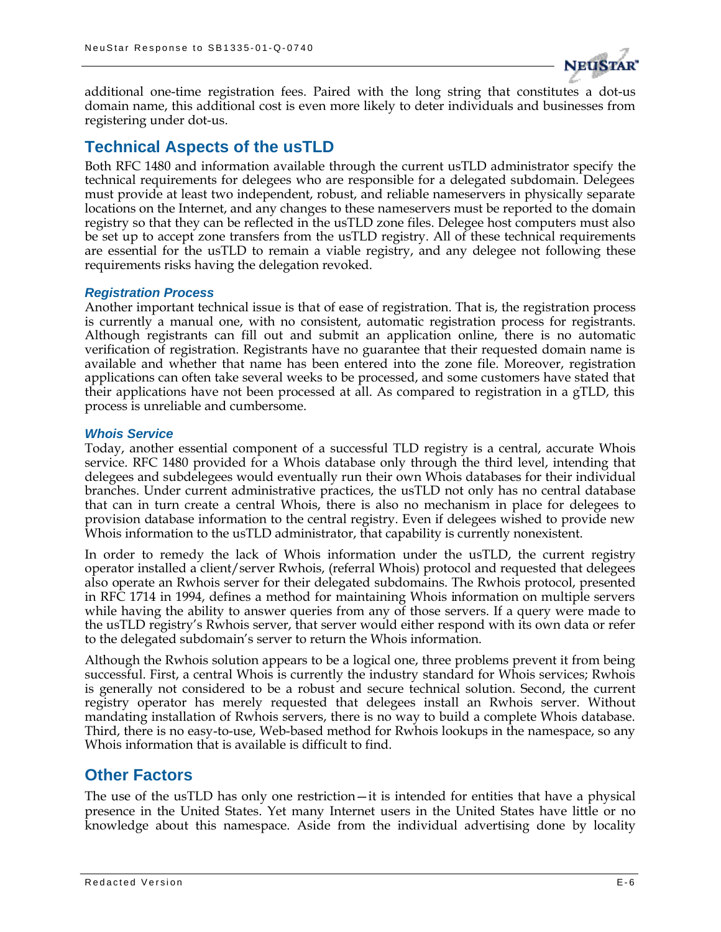

additional one-time registration fees. Paired with the long string that constitutes a dot-us domain name, this additional cost is even more likely to deter individuals and businesses from registering under dot-us.

## **Technical Aspects of the usTLD**

Both RFC 1480 and information available through the current usTLD administrator specify the technical requirements for delegees who are responsible for a delegated subdomain. Delegees must provide at least two independent, robust, and reliable nameservers in physically separate locations on the Internet, and any changes to these nameservers must be reported to the domain registry so that they can be reflected in the usTLD zone files. Delegee host computers must also be set up to accept zone transfers from the usTLD registry. All of these technical requirements are essential for the usTLD to remain a viable registry, and any delegee not following these requirements risks having the delegation revoked.

#### *Registration Process*

Another important technical issue is that of ease of registration. That is, the registration process is currently a manual one, with no consistent, automatic registration process for registrants. Although registrants can fill out and submit an application online, there is no automatic verification of registration. Registrants have no guarantee that their requested domain name is available and whether that name has been entered into the zone file. Moreover, registration applications can often take several weeks to be processed, and some customers have stated that their applications have not been processed at all. As compared to registration in a gTLD, this process is unreliable and cumbersome.

#### *Whois Service*

Today, another essential component of a successful TLD registry is a central, accurate Whois service. RFC 1480 provided for a Whois database only through the third level, intending that delegees and subdelegees would eventually run their own Whois databases for their individual branches. Under current administrative practices, the usTLD not only has no central database that can in turn create a central Whois, there is also no mechanism in place for delegees to provision database information to the central registry. Even if delegees wished to provide new Whois information to the usTLD administrator, that capability is currently nonexistent.

In order to remedy the lack of Whois information under the usTLD, the current registry operator installed a client/server Rwhois, (referral Whois) protocol and requested that delegees also operate an Rwhois server for their delegated subdomains. The Rwhois protocol, presented in RFC 1714 in 1994, defines a method for maintaining Whois information on multiple servers while having the ability to answer queries from any of those servers. If a query were made to the usTLD registry's Rwhois server, that server would either respond with its own data or refer to the delegated subdomain's server to return the Whois information.

Although the Rwhois solution appears to be a logical one, three problems prevent it from being successful. First, a central Whois is currently the industry standard for Whois services; Rwhois is generally not considered to be a robust and secure technical solution. Second, the current registry operator has merely requested that delegees install an Rwhois server. Without mandating installation of Rwhois servers, there is no way to build a complete Whois database. Third, there is no easy-to-use, Web-based method for Rwhois lookups in the namespace, so any Whois information that is available is difficult to find.

## **Other Factors**

The use of the usTLD has only one restriction—it is intended for entities that have a physical presence in the United States. Yet many Internet users in the United States have little or no knowledge about this namespace. Aside from the individual advertising done by locality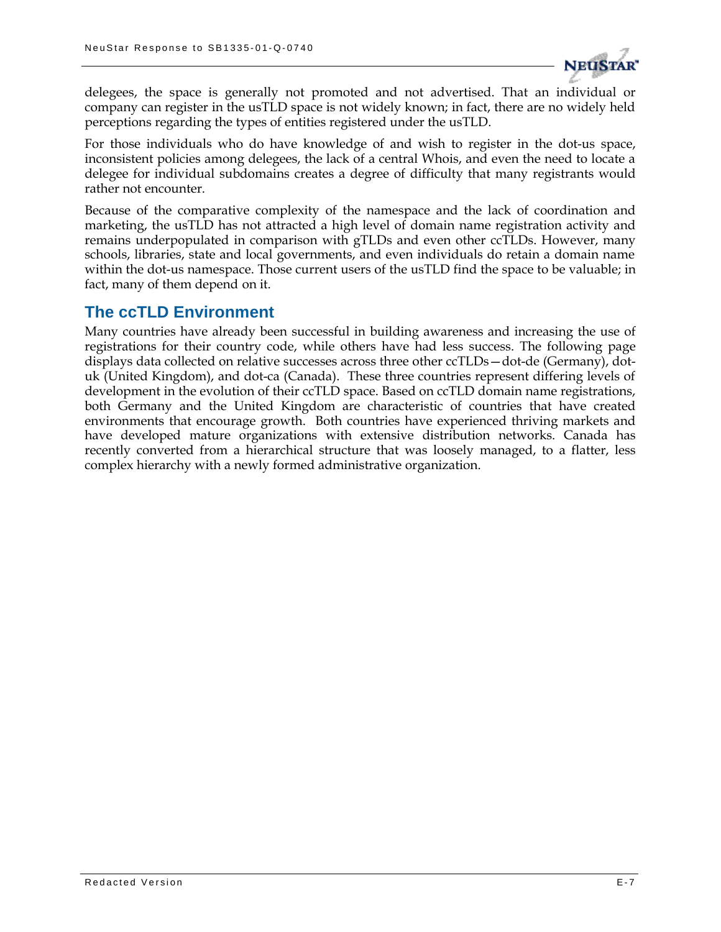

delegees, the space is generally not promoted and not advertised. That an individual or company can register in the usTLD space is not widely known; in fact, there are no widely held perceptions regarding the types of entities registered under the usTLD.

For those individuals who do have knowledge of and wish to register in the dot-us space, inconsistent policies among delegees, the lack of a central Whois, and even the need to locate a delegee for individual subdomains creates a degree of difficulty that many registrants would rather not encounter.

Because of the comparative complexity of the namespace and the lack of coordination and marketing, the usTLD has not attracted a high level of domain name registration activity and remains underpopulated in comparison with gTLDs and even other ccTLDs. However, many schools, libraries, state and local governments, and even individuals do retain a domain name within the dot-us namespace. Those current users of the usTLD find the space to be valuable; in fact, many of them depend on it.

### **The ccTLD Environment**

Many countries have already been successful in building awareness and increasing the use of registrations for their country code, while others have had less success. The following page displays data collected on relative successes across three other ccTLDs—dot-de (Germany), dotuk (United Kingdom), and dot-ca (Canada). These three countries represent differing levels of development in the evolution of their ccTLD space. Based on ccTLD domain name registrations, both Germany and the United Kingdom are characteristic of countries that have created environments that encourage growth. Both countries have experienced thriving markets and have developed mature organizations with extensive distribution networks. Canada has recently converted from a hierarchical structure that was loosely managed, to a flatter, less complex hierarchy with a newly formed administrative organization.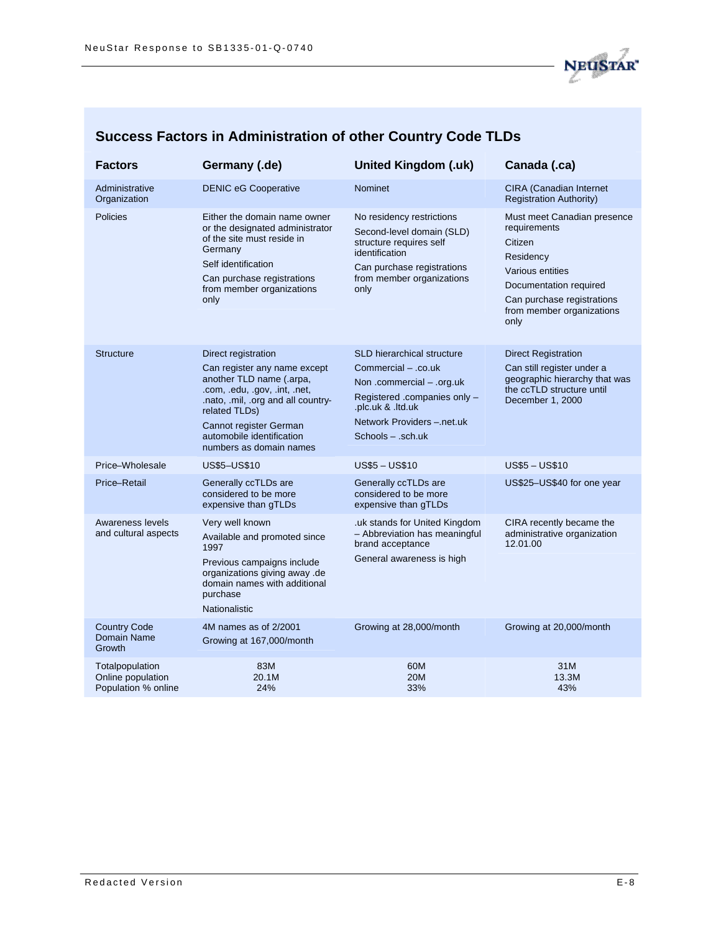

|  |  |  |  | Success Factors in Administration of other Country Code TLDs |
|--|--|--|--|--------------------------------------------------------------|
|--|--|--|--|--------------------------------------------------------------|

| <b>Factors</b>                                              | Germany (.de)                                                                                                                                                                                                                                             | <b>United Kingdom (.uk)</b>                                                                                                                                                                   | Canada (.ca)                                                                                                                                                                         |
|-------------------------------------------------------------|-----------------------------------------------------------------------------------------------------------------------------------------------------------------------------------------------------------------------------------------------------------|-----------------------------------------------------------------------------------------------------------------------------------------------------------------------------------------------|--------------------------------------------------------------------------------------------------------------------------------------------------------------------------------------|
| Administrative<br>Organization                              | <b>DENIC eG Cooperative</b>                                                                                                                                                                                                                               | Nominet                                                                                                                                                                                       | <b>CIRA (Canadian Internet)</b><br><b>Registration Authority)</b>                                                                                                                    |
| Policies                                                    | Either the domain name owner<br>or the designated administrator<br>of the site must reside in<br>Germany<br>Self identification<br>Can purchase registrations<br>from member organizations<br>only                                                        | No residency restrictions<br>Second-level domain (SLD)<br>structure requires self<br>identification<br>Can purchase registrations<br>from member organizations<br>only                        | Must meet Canadian presence<br>requirements<br>Citizen<br>Residency<br>Various entities<br>Documentation required<br>Can purchase registrations<br>from member organizations<br>only |
| <b>Structure</b>                                            | Direct registration<br>Can register any name except<br>another TLD name (.arpa,<br>.com, .edu, .gov, .int, .net,<br>.nato, .mil, .org and all country-<br>related TLDs)<br>Cannot register German<br>automobile identification<br>numbers as domain names | <b>SLD hierarchical structure</b><br>Commercial - .co.uk<br>Non .commercial - .org.uk<br>Registered .companies only -<br>.plc.uk & .ltd.uk<br>Network Providers -.net.uk<br>Schools - .sch.uk | <b>Direct Registration</b><br>Can still register under a<br>geographic hierarchy that was<br>the ccTLD structure until<br>December 1, 2000                                           |
| Price-Wholesale                                             | US\$5-US\$10                                                                                                                                                                                                                                              | <b>US\$5-US\$10</b>                                                                                                                                                                           | <b>US\$5 - US\$10</b>                                                                                                                                                                |
| Price-Retail                                                | Generally ccTLDs are<br>considered to be more<br>expensive than gTLDs                                                                                                                                                                                     | Generally ccTLDs are<br>considered to be more<br>expensive than gTLDs                                                                                                                         | US\$25-US\$40 for one year                                                                                                                                                           |
| Awareness levels<br>and cultural aspects                    | Very well known<br>Available and promoted since<br>1997<br>Previous campaigns include<br>organizations giving away .de<br>domain names with additional<br>purchase<br>Nationalistic                                                                       | uk stands for United Kingdom.<br>- Abbreviation has meaningful<br>brand acceptance<br>General awareness is high                                                                               | CIRA recently became the<br>administrative organization<br>12.01.00                                                                                                                  |
| <b>Country Code</b><br>Domain Name<br>Growth                | 4M names as of 2/2001<br>Growing at 167,000/month                                                                                                                                                                                                         | Growing at 28,000/month                                                                                                                                                                       | Growing at 20,000/month                                                                                                                                                              |
| Totalpopulation<br>Online population<br>Population % online | 83M<br>20.1M<br>24%                                                                                                                                                                                                                                       | 60M<br><b>20M</b><br>33%                                                                                                                                                                      | 31M<br>13.3M<br>43%                                                                                                                                                                  |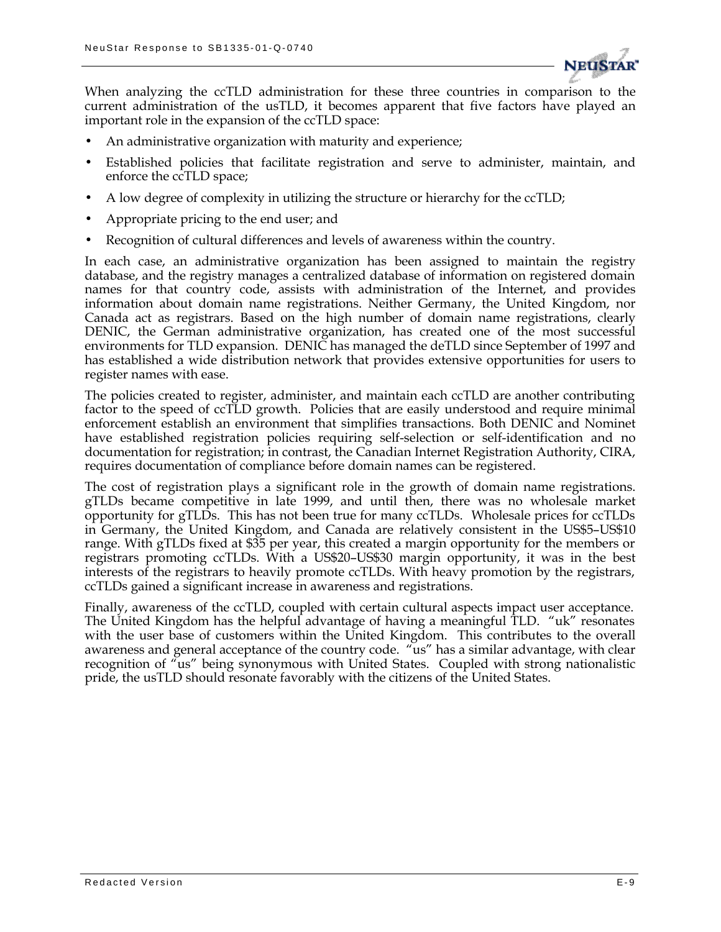

When analyzing the ccTLD administration for these three countries in comparison to the current administration of the usTLD, it becomes apparent that five factors have played an important role in the expansion of the ccTLD space:

- An administrative organization with maturity and experience;
- Established policies that facilitate registration and serve to administer, maintain, and enforce the ccTLD space;
- A low degree of complexity in utilizing the structure or hierarchy for the ccTLD;
- Appropriate pricing to the end user; and
- Recognition of cultural differences and levels of awareness within the country.

In each case, an administrative organization has been assigned to maintain the registry database, and the registry manages a centralized database of information on registered domain names for that country code, assists with administration of the Internet, and provides information about domain name registrations. Neither Germany, the United Kingdom, nor Canada act as registrars. Based on the high number of domain name registrations, clearly DENIC, the German administrative organization, has created one of the most successful environments for TLD expansion. DENIC has managed the deTLD since September of 1997 and has established a wide distribution network that provides extensive opportunities for users to register names with ease.

The policies created to register, administer, and maintain each ccTLD are another contributing factor to the speed of ccTLD growth. Policies that are easily understood and require minimal enforcement establish an environment that simplifies transactions. Both DENIC and Nominet have established registration policies requiring self-selection or self-identification and no documentation for registration; in contrast, the Canadian Internet Registration Authority, CIRA, requires documentation of compliance before domain names can be registered.

The cost of registration plays a significant role in the growth of domain name registrations. gTLDs became competitive in late 1999, and until then, there was no wholesale market opportunity for gTLDs. This has not been true for many ccTLDs. Wholesale prices for ccTLDs in Germany, the United Kingdom, and Canada are relatively consistent in the US\$5–US\$10 range. With gTLDs fixed at \$35 per year, this created a margin opportunity for the members or registrars promoting ccTLDs. With a US\$20–US\$30 margin opportunity, it was in the best interests of the registrars to heavily promote ccTLDs. With heavy promotion by the registrars, ccTLDs gained a significant increase in awareness and registrations.

Finally, awareness of the ccTLD, coupled with certain cultural aspects impact user acceptance. The United Kingdom has the helpful advantage of having a meaningful TLD. "uk" resonates with the user base of customers within the United Kingdom. This contributes to the overall awareness and general acceptance of the country code. "us" has a similar advantage, with clear recognition of "us" being synonymous with United States. Coupled with strong nationalistic pride, the usTLD should resonate favorably with the citizens of the United States.